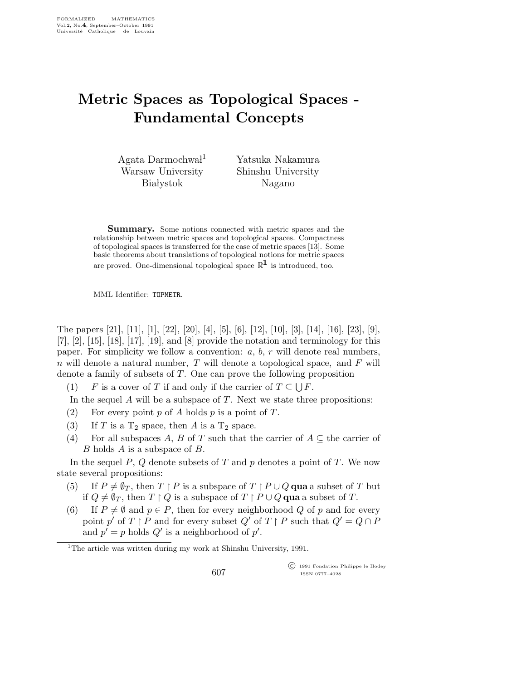## Metric Spaces as Topological Spaces - Fundamental Concepts

Agata Darmochwal<sup>1</sup> Warsaw University **Białystok** 

Yatsuka Nakamura Shinshu University Nagano

Summary. Some notions connected with metric spaces and the relationship between metric spaces and topological spaces. Compactness of topological spaces is transferred for the case of metric spaces [13]. Some basic theorems about translations of topological notions for metric spaces are proved. One-dimensional topological space  $\mathbb{R}^1$  is introduced, too.

MML Identifier: TOPMETR.

The papers [21], [11], [1], [22], [20], [4], [5], [6], [12], [10], [3], [14], [16], [23], [9], [7], [2], [15], [18], [17], [19], and [8] provide the notation and terminology for this paper. For simplicity we follow a convention:  $a, b, r$  will denote real numbers,  $n$  will denote a natural number,  $T$  will denote a topological space, and  $F$  will denote a family of subsets of T. One can prove the following proposition

(1) F is a cover of T if and only if the carrier of  $T \subseteq \bigcup F$ .

In the sequel  $A$  will be a subspace of  $T$ . Next we state three propositions:

- (2) For every point p of A holds p is a point of T.
- (3) If T is a  $T_2$  space, then A is a  $T_2$  space.
- (4) For all subspaces A, B of T such that the carrier of  $A \subseteq$  the carrier of B holds A is a subspace of B.

In the sequel  $P$ ,  $Q$  denote subsets of  $T$  and  $p$  denotes a point of  $T$ . We now state several propositions:

- (5) If  $P \neq \emptyset_T$ , then  $T \upharpoonright P$  is a subspace of  $T \upharpoonright P \cup Q$  qua a subset of T but if  $Q \neq \emptyset_T$ , then  $T \upharpoonright Q$  is a subspace of  $T \upharpoonright P \cup Q$  qua a subset of T.
- (6) If  $P \neq \emptyset$  and  $p \in P$ , then for every neighborhood Q of p and for every point  $p'$  of  $T \upharpoonright P$  and for every subset  $Q'$  of  $T \upharpoonright P$  such that  $Q' = Q \cap P$ and  $p' = p$  holds  $Q'$  is a neighborhood of  $p'$ .

<sup>1</sup>The article was written during my work at Shinshu University,  $1991$ .

 c 1991 Fondation Philippe le Hodey ISSN 0777–4028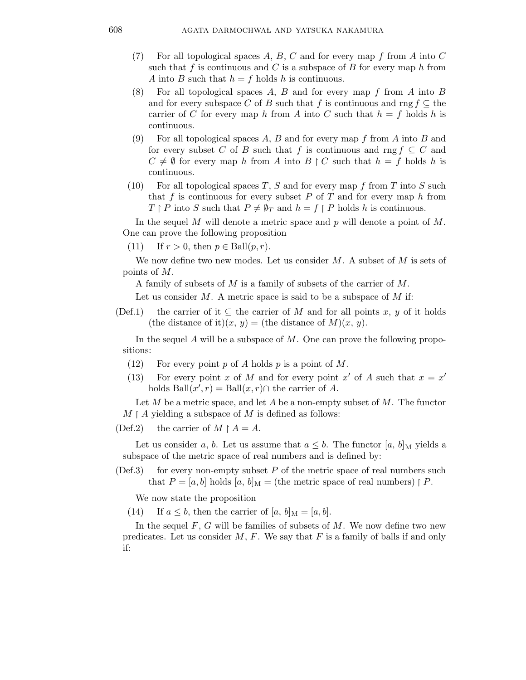- (7) For all topological spaces A, B, C and for every map f from A into C such that f is continuous and C is a subspace of B for every map h from A into B such that  $h = f$  holds h is continuous.
- (8) For all topological spaces A, B and for every map f from A into B and for every subspace C of B such that f is continuous and rng  $f \subseteq$  the carrier of C for every map h from A into C such that  $h = f$  holds h is continuous.
- (9) For all topological spaces A, B and for every map f from A into B and for every subset C of B such that f is continuous and rng  $f \subseteq C$  and  $C \neq \emptyset$  for every map h from A into  $B \upharpoonright C$  such that  $h = f$  holds h is continuous.
- (10) For all topological spaces T, S and for every map f from T into S such that f is continuous for every subset P of T and for every map h from  $T \upharpoonright P$  into S such that  $P \neq \emptyset_T$  and  $h = f \upharpoonright P$  holds h is continuous.

In the sequel M will denote a metric space and  $p$  will denote a point of  $M$ . One can prove the following proposition

(11) If  $r > 0$ , then  $p \in \text{Ball}(p, r)$ .

We now define two new modes. Let us consider  $M$ . A subset of  $M$  is sets of points of M.

A family of subsets of M is a family of subsets of the carrier of M.

Let us consider  $M$ . A metric space is said to be a subspace of  $M$  if:

(Def.1) the carrier of it  $\subseteq$  the carrier of M and for all points x, y of it holds (the distance of it) $(x, y) =$  (the distance of M) $(x, y)$ .

In the sequel  $A$  will be a subspace of  $M$ . One can prove the following propositions:

- (12) For every point p of A holds p is a point of M.
- (13) For every point x of M and for every point x' of A such that  $x = x'$ holds  $\text{Ball}(x', r) = \text{Ball}(x, r) \cap \text{ the carrier of } A.$

Let M be a metric space, and let A be a non-empty subset of M. The functor  $M \upharpoonright A$  yielding a subspace of M is defined as follows:

(Def.2) the carrier of  $M \upharpoonright A = A$ .

Let us consider a, b. Let us assume that  $a \leq b$ . The functor  $[a, b]_M$  yields a subspace of the metric space of real numbers and is defined by:

 $(Def.3)$  for every non-empty subset P of the metric space of real numbers such that  $P = [a, b]$  holds  $[a, b]_M =$  (the metric space of real numbers)  $\upharpoonright P$ .

We now state the proposition

(14) If  $a \leq b$ , then the carrier of  $[a, b]_M = [a, b]$ .

In the sequel  $F, G$  will be families of subsets of  $M$ . We now define two new predicates. Let us consider  $M$ ,  $F$ . We say that  $F$  is a family of balls if and only if: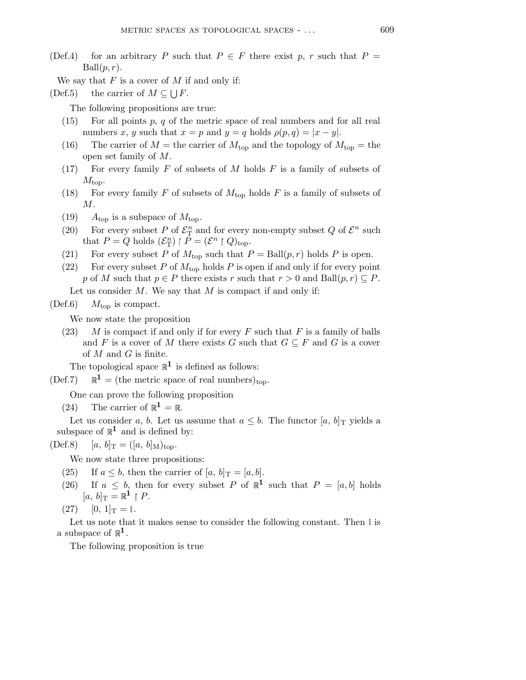- (Def.4) for an arbitrary P such that  $P \in F$  there exist p, r such that  $P =$  $Ball(p, r)$ .
	- We say that  $F$  is a cover of  $M$  if and only if:
- (Def.5) the carrier of  $M \subseteq \bigcup F$ .

The following propositions are true:

- $(15)$  For all points p, q of the metric space of real numbers and for all real numbers x, y such that  $x = p$  and  $y = q$  holds  $\rho(p,q) = |x - y|$ .
- (16) The carrier of  $M =$  the carrier of  $M_{\text{top}}$  and the topology of  $M_{\text{top}} =$  the open set family of M.
- (17) For every family  $F$  of subsets of  $M$  holds  $F$  is a family of subsets of  $M_{\text{top}}$ .
- (18) For every family F of subsets of  $M_{\text{top}}$  holds F is a family of subsets of  $M$ .
- (19)  $A_{\text{top}}$  is a subspace of  $M_{\text{top}}$ .
- (20) For every subset P of  $\mathcal{E}_{\mathrm{T}}^n$  $\frac{n}{\text{T}}$  and for every non-empty subset Q of  $\mathcal{E}^n$  such that  $P = Q$  holds  $(\mathcal{E}_{\mathcal{T}}^n)$  $\binom{n}{\mathrm{T}} \restriction \vec{P} = (\mathcal{E}^n \restriction Q)_{\mathrm{top}}.$
- (21) For every subset P of  $M_{\text{top}}$  such that  $P = \text{Ball}(p, r)$  holds P is open.
- (22) For every subset P of  $M_{\text{top}}$  holds P is open if and only if for every point p of M such that  $p \in P$  there exists r such that  $r > 0$  and  $\text{Ball}(p, r) \subseteq P$ .

Let us consider  $M$ . We say that  $M$  is compact if and only if:

 $(Def.6)$   $M_{top}$  is compact.

We now state the proposition

(23) M is compact if and only if for every F such that F is a family of balls and F is a cover of M there exists G such that  $G \subseteq F$  and G is a cover of  $M$  and  $G$  is finite.

The topological space  $\mathbb{R}^1$  is defined as follows:

 $(\text{Def.7})$   $\mathbb{R}^1$  = (the metric space of real numbers)<sub>top</sub>.

One can prove the following proposition

(24) The carrier of  $\mathbb{R}^1 = \mathbb{R}$ .

Let us consider a, b. Let us assume that  $a \leq b$ . The functor  $[a, b]_T$  yields a subspace of  $\mathbb{R}^1$  and is defined by:

$$
(\text{Def.8})
$$
  $[a, b]_T = ([a, b]_M)_{top}.$ 

We now state three propositions:

- (25) If  $a \leq b$ , then the carrier of  $[a, b]_T = [a, b]$ .
- (26) If  $a \leq b$ , then for every subset P of  $\mathbb{R}^1$  such that  $P = [a, b]$  holds  $[a, b]_{\text{T}} = \mathbb{R}^1 \restriction P$ .
- $(27)$   $[0, 1]_T = \mathbb{I}.$

Let us note that it makes sense to consider the following constant. Then  $\mathbb I$  is a subspace of  $\mathbb{R}^{1}$ .

The following proposition is true